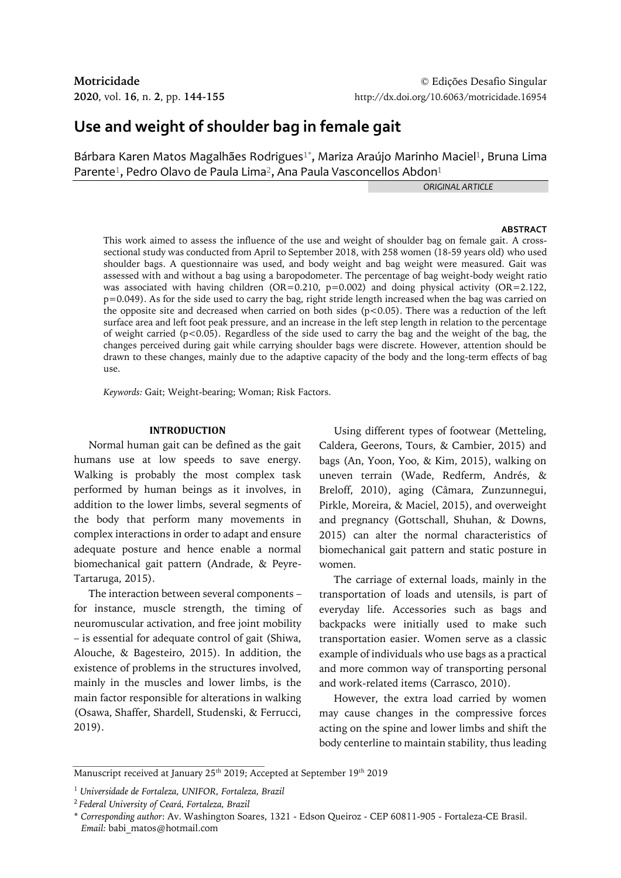# **Use and weight of shoulder bag in female gait**

Bárbara Karen Matos Magalhães Rodrigues<sup>1\*</sup>, Mariza Araújo Marinho Maciel<sup>1</sup>, Bruna Lima Parente<sup>1</sup>, Pedro Olavo de Paula Lima<sup>2</sup>, Ana Paula Vasconcellos Abdon<sup>1</sup>

*ORIGINAL ARTICLE*

#### **ABSTRACT**

This work aimed to assess the influence of the use and weight of shoulder bag on female gait. A crosssectional study was conducted from April to September 2018, with 258 women (18-59 years old) who used shoulder bags. A questionnaire was used, and body weight and bag weight were measured. Gait was assessed with and without a bag using a baropodometer. The percentage of bag weight-body weight ratio was associated with having children (OR=0.210, p=0.002) and doing physical activity (OR=2.122, p=0.049). As for the side used to carry the bag, right stride length increased when the bag was carried on the opposite site and decreased when carried on both sides  $(p<0.05)$ . There was a reduction of the left surface area and left foot peak pressure, and an increase in the left step length in relation to the percentage of weight carried ( $p < 0.05$ ). Regardless of the side used to carry the bag and the weight of the bag, the changes perceived during gait while carrying shoulder bags were discrete. However, attention should be drawn to these changes, mainly due to the adaptive capacity of the body and the long-term effects of bag use.

*Keywords:* Gait; Weight-bearing; Woman; Risk Factors.

#### **INTRODUCTION**

Normal human gait can be defined as the gait humans use at low speeds to save energy. Walking is probably the most complex task performed by human beings as it involves, in addition to the lower limbs, several segments of the body that perform many movements in complex interactions in order to adapt and ensure adequate posture and hence enable a normal biomechanical gait pattern (Andrade, & Peyre-Tartaruga, 2015).

The interaction between several components – for instance, muscle strength, the timing of neuromuscular activation, and free joint mobility – is essential for adequate control of gait (Shiwa, Alouche, & Bagesteiro, 2015). In addition, the existence of problems in the structures involved, mainly in the muscles and lower limbs, is the main factor responsible for alterations in walking (Osawa, Shaffer, Shardell, Studenski, & Ferrucci, 2019).

Using different types of footwear (Metteling, Caldera, Geerons, Tours, & Cambier, 2015) and bags (An, Yoon, Yoo, & Kim, 2015), walking on uneven terrain (Wade, Redferm, Andrés, & Breloff, 2010), aging (Câmara, Zunzunnegui, Pirkle, Moreira, & Maciel, 2015), and overweight and pregnancy (Gottschall, Shuhan, & Downs, 2015) can alter the normal characteristics of biomechanical gait pattern and static posture in women.

The carriage of external loads, mainly in the transportation of loads and utensils, is part of everyday life. Accessories such as bags and backpacks were initially used to make such transportation easier. Women serve as a classic example of individuals who use bags as a practical and more common way of transporting personal and work-related items (Carrasco, 2010).

However, the extra load carried by women may cause changes in the compressive forces acting on the spine and lower limbs and shift the body centerline to maintain stability, thus leading

Manuscript received at January 25<sup>th</sup> 2019; Accepted at September 19<sup>th</sup> 2019

<sup>1</sup> *Universidade de Fortaleza, UNIFOR, Fortaleza, Brazil*

<sup>2</sup>*Federal University of Ceará, Fortaleza, Brazil*

<sup>\*</sup> *Corresponding author*: Av. Washington Soares, 1321 - Edson Queiroz - CEP 60811-905 - Fortaleza-CE Brasil. *Email:* babi\_matos@hotmail.com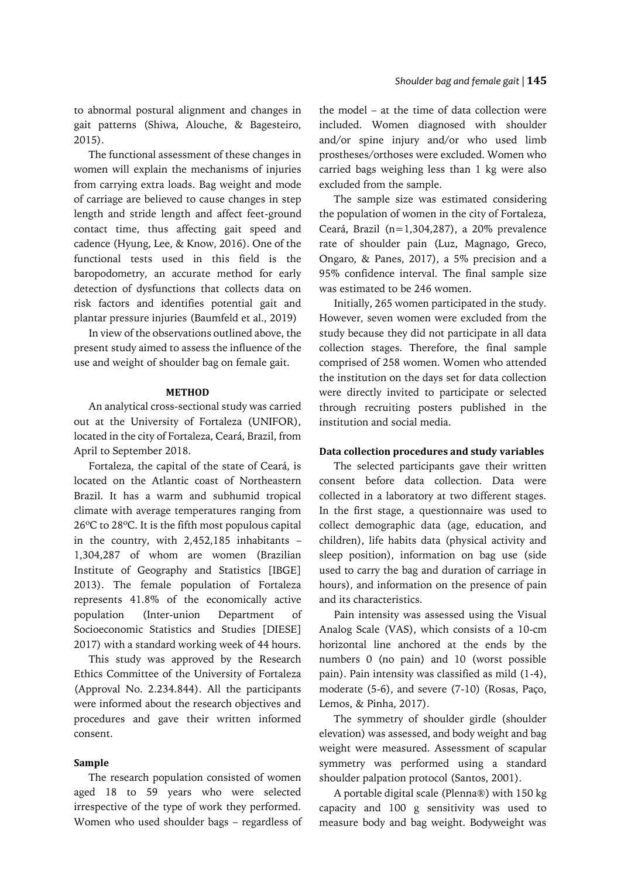to abnormal postural alignment and changes in gait patterns (Shiwa, Alouche, & Bagesteiro, 2015).

The functional assessment of these changes in women will explain the mechanisms of injuries from carrying extra loads. Bag weight and mode of carriage are believed to cause changes in step length and stride length and affect feet-ground contact time, thus affecting gait speed and cadence (Hyung, Lee, & Know, 2016). One of the functional tests used in this field is the baropodometry, an accurate method for early detection of dysfunctions that collects data on risk factors and identifies potential gait and plantar pressure injuries (Baumfeld et al., 2019)

In view of the observations outlined above, the present study aimed to assess the influence of the use and weight of shoulder bag on female gait.

## **METHOD**

An analytical cross-sectional study was carried out at the University of Fortaleza (UNIFOR), located in the city of Fortaleza, Ceará, Brazil, from April to September 2018.

Fortaleza, the capital of the state of Ceará, is located on the Atlantic coast of Northeastern Brazil. It has a warm and subhumid tropical climate with average temperatures ranging from 26ºC to 28ºC. It is the fifth most populous capital in the country, with 2,452,185 inhabitants – 1,304,287 of whom are women (Brazilian Institute of Geography and Statistics [IBGE] 2013). The female population of Fortaleza represents 41.8% of the economically active population (Inter-union Department of Socioeconomic Statistics and Studies [DIESE] 2017) with a standard working week of 44 hours.

This study was approved by the Research Ethics Committee of the University of Fortaleza (Approval No. 2.234.844). All the participants were informed about the research objectives and procedures and gave their written informed consent.

## **Sample**

The research population consisted of women aged 18 to 59 years who were selected irrespective of the type of work they performed. Women who used shoulder bags – regardless of

the model – at the time of data collection were included. Women diagnosed with shoulder and/or spine injury and/or who used limb prostheses/orthoses were excluded. Women who carried bags weighing less than 1 kg were also excluded from the sample.

The sample size was estimated considering the population of women in the city of Fortaleza, Ceará, Brazil (n=1,304,287), a 20% prevalence rate of shoulder pain (Luz, Magnago, Greco, Ongaro, & Panes, 2017), a 5% precision and a 95% confidence interval. The final sample size was estimated to be 246 women.

Initially, 265 women participated in the study. However, seven women were excluded from the study because they did not participate in all data collection stages. Therefore, the final sample comprised of 258 women. Women who attended the institution on the days set for data collection were directly invited to participate or selected through recruiting posters published in the institution and social media.

## **Data collection procedures and study variables**

The selected participants gave their written consent before data collection. Data were collected in a laboratory at two different stages. In the first stage, a questionnaire was used to collect demographic data (age, education, and children), life habits data (physical activity and sleep position), information on bag use (side used to carry the bag and duration of carriage in hours), and information on the presence of pain and its characteristics.

Pain intensity was assessed using the Visual Analog Scale (VAS), which consists of a 10-cm horizontal line anchored at the ends by the numbers 0 (no pain) and 10 (worst possible pain). Pain intensity was classified as mild (1-4), moderate (5-6), and severe (7-10) (Rosas, Paço, Lemos, & Pinha, 2017).

The symmetry of shoulder girdle (shoulder elevation) was assessed, and body weight and bag weight were measured. Assessment of scapular symmetry was performed using a standard shoulder palpation protocol (Santos, 2001).

A portable digital scale (Plenna®) with 150 kg capacity and 100 g sensitivity was used to measure body and bag weight. Bodyweight was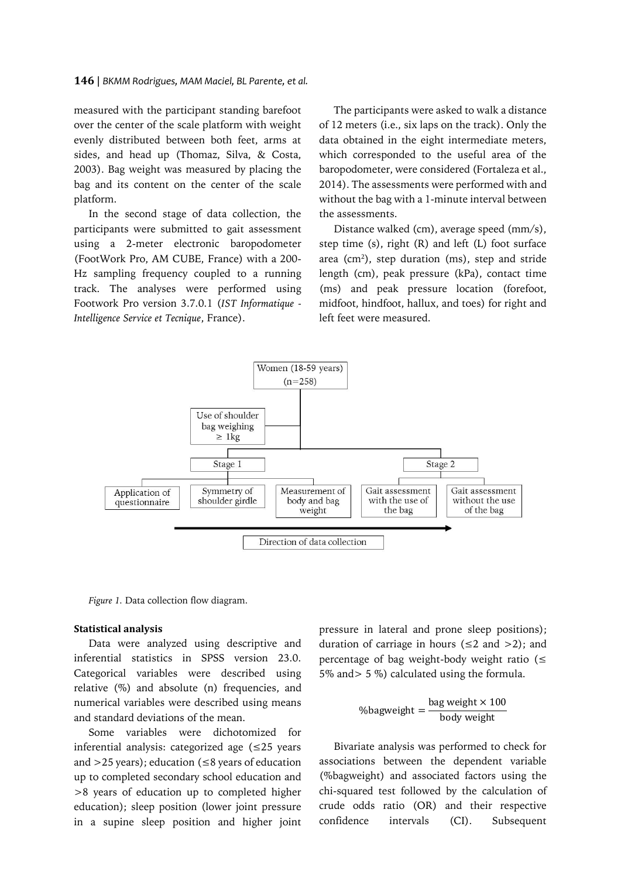measured with the participant standing barefoot over the center of the scale platform with weight evenly distributed between both feet, arms at sides, and head up (Thomaz, Silva, & Costa, 2003). Bag weight was measured by placing the bag and its content on the center of the scale platform.

In the second stage of data collection, the participants were submitted to gait assessment using a 2-meter electronic baropodometer (FootWork Pro, AM CUBE, France) with a 200- Hz sampling frequency coupled to a running track. The analyses were performed using Footwork Pro version 3.7.0.1 (*IST Informatique - Intelligence Service et Tecnique*, France).

The participants were asked to walk a distance of 12 meters (i.e., six laps on the track). Only the data obtained in the eight intermediate meters, which corresponded to the useful area of the baropodometer, were considered (Fortaleza et al., 2014). The assessments were performed with and without the bag with a 1-minute interval between the assessments.

Distance walked (cm), average speed (mm/s), step time (s), right (R) and left (L) foot surface area (cm<sup>2</sup>), step duration (ms), step and stride length (cm), peak pressure (kPa), contact time (ms) and peak pressure location (forefoot, midfoot, hindfoot, hallux, and toes) for right and left feet were measured.



*Figure 1.* Data collection flow diagram.

#### **Statistical analysis**

Data were analyzed using descriptive and inferential statistics in SPSS version 23.0. Categorical variables were described using relative (%) and absolute (n) frequencies, and numerical variables were described using means and standard deviations of the mean.

Some variables were dichotomized for inferential analysis: categorized age (≤25 years and  $>$  25 years); education ( $\leq$ 8 years of education up to completed secondary school education and >8 years of education up to completed higher education); sleep position (lower joint pressure in a supine sleep position and higher joint pressure in lateral and prone sleep positions); duration of carriage in hours ( $\leq 2$  and  $> 2$ ); and percentage of bag weight-body weight ratio ( $\leq$ 5% and> 5 %) calculated using the formula.

$$
\%
$$
bagweight = \frac{bag weight \times 100}{body weight}

Bivariate analysis was performed to check for associations between the dependent variable (%bagweight) and associated factors using the chi-squared test followed by the calculation of crude odds ratio (OR) and their respective confidence intervals (CI). Subsequent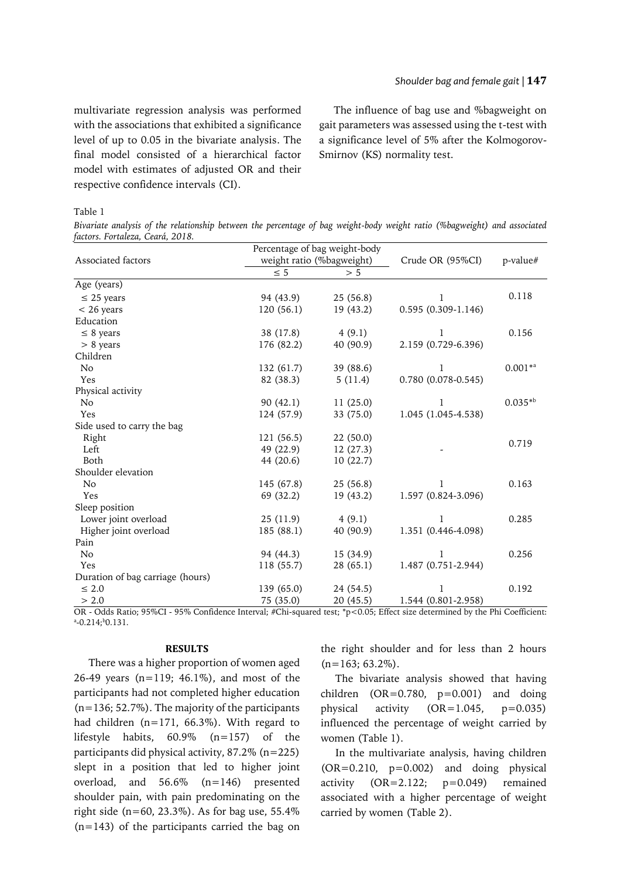## *Shoulder bag and female gait |* **147**

multivariate regression analysis was performed with the associations that exhibited a significance level of up to 0.05 in the bivariate analysis. The final model consisted of a hierarchical factor model with estimates of adjusted OR and their respective confidence intervals (CI).

The influence of bag use and %bagweight on gait parameters was assessed using the t-test with a significance level of 5% after the Kolmogorov-Smirnov (KS) normality test.

## Table 1

*Bivariate analysis of the relationship between the percentage of bag weight-body weight ratio (%bagweight) and associated factors. Fortaleza, Ceará, 2018.*

|                                  |            | Percentage of bag weight-body |                        |             |  |
|----------------------------------|------------|-------------------------------|------------------------|-------------|--|
| Associated factors               |            | weight ratio (%bagweight)     | Crude OR (95%CI)       | $p$ -value# |  |
|                                  | $\leq 5$   | > 5                           |                        |             |  |
| Age (years)                      |            |                               |                        |             |  |
| $\leq$ 25 years                  | 94 (43.9)  | 25(56.8)                      | 1                      | 0.118       |  |
| $< 26$ years                     | 120(56.1)  | 19 (43.2)                     | $0.595(0.309 - 1.146)$ |             |  |
| Education                        |            |                               |                        |             |  |
| $\leq 8$ years                   | 38 (17.8)  | 4(9.1)                        | 1                      | 0.156       |  |
| $> 8$ years                      | 176 (82.2) | 40 (90.9)                     | 2.159 (0.729-6.396)    |             |  |
| Children                         |            |                               |                        |             |  |
| N <sub>o</sub>                   | 132(61.7)  | 39 (88.6)                     | 1                      | $0.001**$   |  |
| Yes                              | 82 (38.3)  | 5(11.4)                       | $0.780(0.078-0.545)$   |             |  |
| Physical activity                |            |                               |                        |             |  |
| N <sub>o</sub>                   | 90(42.1)   | 11(25.0)                      | 1                      | $0.035**b$  |  |
| Yes                              | 124 (57.9) | 33 (75.0)                     | 1.045 (1.045-4.538)    |             |  |
| Side used to carry the bag       |            |                               |                        |             |  |
| Right                            | 121 (56.5) | 22(50.0)                      |                        | 0.719       |  |
| Left                             | 49 (22.9)  | 12(27.3)                      |                        |             |  |
| Both                             | 44 (20.6)  | 10(22.7)                      |                        |             |  |
| Shoulder elevation               |            |                               |                        |             |  |
| N <sub>o</sub>                   | 145 (67.8) | 25(56.8)                      | 1                      | 0.163       |  |
| Yes                              | 69 (32.2)  | 19(43.2)                      | 1.597 (0.824-3.096)    |             |  |
| Sleep position                   |            |                               |                        |             |  |
| Lower joint overload             | 25(11.9)   | 4(9.1)                        | 1                      | 0.285       |  |
| Higher joint overload            | 185(88.1)  | 40 (90.9)                     | 1.351 (0.446-4.098)    |             |  |
| Pain                             |            |                               |                        |             |  |
| No                               | 94 (44.3)  | 15(34.9)                      | 1                      | 0.256       |  |
| Yes                              | 118(55.7)  | 28(65.1)                      | 1.487 (0.751-2.944)    |             |  |
| Duration of bag carriage (hours) |            |                               |                        |             |  |
| $\leq 2.0$                       | 139 (65.0) | 24 (54.5)                     | 1                      | 0.192       |  |
| > 2.0                            | 75 (35.0)  | 20(45.5)                      | 1.544 (0.801-2.958)    |             |  |

OR - Odds Ratio; 95%CI - 95% Confidence Interval; #Chi-squared test; \*p<0.05; Effect size determined by the Phi Coefficient:  $^{\rm a}$ -0.214; $^{\rm b}$ 0.131.

## **RESULTS**

There was a higher proportion of women aged 26-49 years (n=119; 46.1%), and most of the participants had not completed higher education (n=136; 52.7%). The majority of the participants had children (n=171, 66.3%). With regard to lifestyle habits, 60.9% (n=157) of the participants did physical activity, 87.2% (n=225) slept in a position that led to higher joint overload, and 56.6% (n=146) presented shoulder pain, with pain predominating on the right side ( $n=60, 23.3\%$ ). As for bag use, 55.4% (n=143) of the participants carried the bag on

the right shoulder and for less than 2 hours  $(n=163; 63.2\%)$ .

The bivariate analysis showed that having children  $(OR=0.780, p=0.001)$  and doing physical activity  $(OR=1.045, p=0.035)$ influenced the percentage of weight carried by women (Table 1).

In the multivariate analysis, having children  $(OR=0.210, p=0.002)$  and doing physical activity (OR=2.122; p=0.049) remained associated with a higher percentage of weight carried by women (Table 2).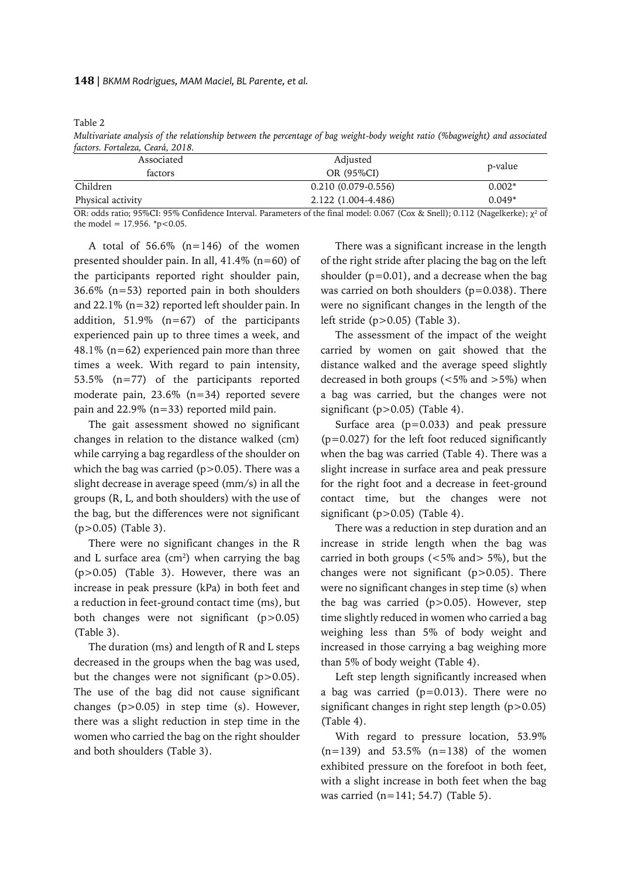*Multivariate analysis of the relationship between the percentage of bag weight-body weight ratio (%bagweight) and associated factors. Fortaleza, Ceará, 2018.*

| Associated        | Adjusted                                                                                                                                                                                                                                                                 | p-value  |  |
|-------------------|--------------------------------------------------------------------------------------------------------------------------------------------------------------------------------------------------------------------------------------------------------------------------|----------|--|
| factors           | OR (95%CI)                                                                                                                                                                                                                                                               |          |  |
| Children          | $0.210(0.079-0.556)$                                                                                                                                                                                                                                                     | $0.002*$ |  |
| Physical activity | 2.122 (1.004-4.486)                                                                                                                                                                                                                                                      | $0.049*$ |  |
|                   | $\mathbf{1}$ $\mathbf{1}$ $\mathbf{2}$ $\mathbf{3}$ $\mathbf{3}$ $\mathbf{4}$ $\mathbf{3}$ $\mathbf{4}$ $\mathbf{3}$ $\mathbf{4}$ $\mathbf{5}$ $\mathbf{1}$ $\mathbf{1}$ $\mathbf{1}$ $\mathbf{1}$ $\mathbf{1}$ $\mathbf{1}$ $\mathbf{1}$<br>$\sim$ $\sim$ $\sim$ $\sim$ |          |  |

OR: odds ratio; 95%CI: 95% Confidence Interval. Parameters of the final model: 0.067 (Cox & Snell); 0.112 (Nagelkerke);  $\chi^2$  of the model =  $17.956$ . \*p<0.05.

A total of  $56.6\%$  (n=146) of the women presented shoulder pain. In all, 41.4% (n=60) of the participants reported right shoulder pain, 36.6% (n=53) reported pain in both shoulders and 22.1% (n=32) reported left shoulder pain. In addition, 51.9% (n=67) of the participants experienced pain up to three times a week, and 48.1% (n=62) experienced pain more than three times a week. With regard to pain intensity, 53.5% (n=77) of the participants reported moderate pain, 23.6% (n=34) reported severe pain and 22.9% (n=33) reported mild pain.

The gait assessment showed no significant changes in relation to the distance walked (cm) while carrying a bag regardless of the shoulder on which the bag was carried ( $p > 0.05$ ). There was a slight decrease in average speed (mm/s) in all the groups (R, L, and both shoulders) with the use of the bag, but the differences were not significant (p>0.05) (Table 3).

There were no significant changes in the R and L surface area (cm<sup>2</sup>) when carrying the bag (p>0.05) (Table 3). However, there was an increase in peak pressure (kPa) in both feet and a reduction in feet-ground contact time (ms), but both changes were not significant (p>0.05) (Table 3).

The duration (ms) and length of R and L steps decreased in the groups when the bag was used, but the changes were not significant (p>0.05). The use of the bag did not cause significant changes (p>0.05) in step time (s). However, there was a slight reduction in step time in the women who carried the bag on the right shoulder and both shoulders (Table 3).

There was a significant increase in the length of the right stride after placing the bag on the left shoulder  $(p=0.01)$ , and a decrease when the bag was carried on both shoulders (p=0.038). There were no significant changes in the length of the left stride (p>0.05) (Table 3).

The assessment of the impact of the weight carried by women on gait showed that the distance walked and the average speed slightly decreased in both groups  $(<5\%$  and  $>5\%)$  when a bag was carried, but the changes were not significant ( $p > 0.05$ ) (Table 4).

Surface area  $(p=0.033)$  and peak pressure (p=0.027) for the left foot reduced significantly when the bag was carried (Table 4). There was a slight increase in surface area and peak pressure for the right foot and a decrease in feet-ground contact time, but the changes were not significant (p>0.05) (Table 4).

There was a reduction in step duration and an increase in stride length when the bag was carried in both groups  $(<5\%$  and  $>5\%)$ , but the changes were not significant  $(p>0.05)$ . There were no significant changes in step time (s) when the bag was carried (p>0.05). However, step time slightly reduced in women who carried a bag weighing less than 5% of body weight and increased in those carrying a bag weighing more than 5% of body weight (Table 4).

Left step length significantly increased when a bag was carried  $(p=0.013)$ . There were no significant changes in right step length (p>0.05) (Table 4).

With regard to pressure location, 53.9%  $(n=139)$  and 53.5%  $(n=138)$  of the women exhibited pressure on the forefoot in both feet, with a slight increase in both feet when the bag was carried (n=141; 54.7) (Table 5).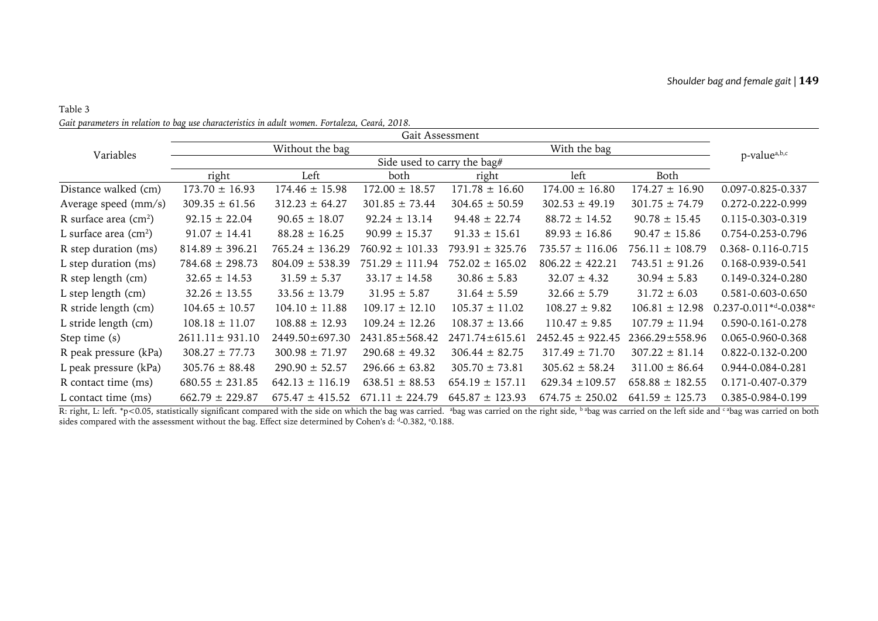# Table 3 *Gait parameters in relation to bag use characteristics in adult women. Fortaleza, Ceará, 2018.*

| San parameters in retailen to bag ase enaracteristics in audit women. Fortateza, Scara, 2010 |                             |                     | Gait Assessment      |                      |                      |                      |                                   |
|----------------------------------------------------------------------------------------------|-----------------------------|---------------------|----------------------|----------------------|----------------------|----------------------|-----------------------------------|
| Variables                                                                                    |                             | Without the bag     | With the bag         |                      |                      |                      | p-value <sup>a,b,c</sup>          |
|                                                                                              | Side used to carry the bag# |                     |                      |                      |                      |                      |                                   |
|                                                                                              | right                       | Left                | both                 | right                | left                 | Both                 |                                   |
| Distance walked (cm)                                                                         | $173.70 \pm 16.93$          | $174.46 \pm 15.98$  | $172.00 \pm 18.57$   | $171.78 \pm 16.60$   | $174.00 \pm 16.80$   | $174.27 \pm 16.90$   | 0.097-0.825-0.337                 |
| Average speed (mm/s)                                                                         | $309.35 \pm 61.56$          | $312.23 \pm 64.27$  | $301.85 \pm 73.44$   | $304.65 \pm 50.59$   | $302.53 \pm 49.19$   | $301.75 \pm 74.79$   | 0.272-0.222-0.999                 |
| R surface area $(cm2)$                                                                       | $92.15 \pm 22.04$           | $90.65 \pm 18.07$   | $92.24 \pm 13.14$    | $94.48 \pm 22.74$    | $88.72 \pm 14.52$    | $90.78 \pm 15.45$    | 0.115-0.303-0.319                 |
| L surface area $\text{(cm}^2\text{)}$                                                        | $91.07 \pm 14.41$           | $88.28 \pm 16.25$   | $90.99 \pm 15.37$    | $91.33 \pm 15.61$    | $89.93 \pm 16.86$    | $90.47 \pm 15.86$    | 0.754-0.253-0.796                 |
| R step duration (ms)                                                                         | $814.89 \pm 396.21$         | $765.24 \pm 136.29$ | $760.92 \pm 101.33$  | $793.91 \pm 325.76$  | $735.57 \pm 116.06$  | $756.11 \pm 108.79$  | 0.368-0.116-0.715                 |
| L step duration (ms)                                                                         | $784.68 \pm 298.73$         | $804.09 \pm 538.39$ | $751.29 \pm 111.94$  | $752.02 \pm 165.02$  | $806.22 \pm 422.21$  | $743.51 \pm 91.26$   | 0.168-0.939-0.541                 |
| R step length (cm)                                                                           | $32.65 \pm 14.53$           | $31.59 \pm 5.37$    | $33.17 \pm 14.58$    | $30.86 \pm 5.83$     | $32.07 \pm 4.32$     | $30.94 \pm 5.83$     | 0.149-0.324-0.280                 |
| L step length (cm)                                                                           | $32.26 \pm 13.55$           | $33.56 \pm 13.79$   | $31.95 \pm 5.87$     | $31.64 \pm 5.59$     | $32.66 \pm 5.79$     | $31.72 \pm 6.03$     | 0.581-0.603-0.650                 |
| R stride length (cm)                                                                         | $104.65 \pm 10.57$          | $104.10 \pm 11.88$  | $109.17 \pm 12.10$   | $105.37 \pm 11.02$   | $108.27 \pm 9.82$    | $106.81 \pm 12.98$   | $0.237 - 0.011^{*d} - 0.038^{*e}$ |
| L stride length (cm)                                                                         | $108.18 \pm 11.07$          | $108.88 \pm 12.93$  | $109.24 \pm 12.26$   | $108.37 \pm 13.66$   | $110.47 \pm 9.85$    | $107.79 \pm 11.94$   | 0.590-0.161-0.278                 |
| Step time (s)                                                                                | $2611.11 \pm 931.10$        | 2449.50±697.30      | $2431.85 \pm 568.42$ | $2471.74 \pm 615.61$ | $2452.45 \pm 922.45$ | $2366.29 \pm 558.96$ | 0.065-0.960-0.368                 |
| R peak pressure (kPa)                                                                        | $308.27 \pm 77.73$          | $300.98 \pm 71.97$  | $290.68 \pm 49.32$   | $306.44 \pm 82.75$   | $317.49 \pm 71.70$   | $307.22 \pm 81.14$   | 0.822-0.132-0.200                 |
| L peak pressure (kPa)                                                                        | $305.76 \pm 88.48$          | $290.90 \pm 52.57$  | $296.66 \pm 63.82$   | $305.70 \pm 73.81$   | $305.62 \pm 58.24$   | $311.00 \pm 86.64$   | 0.944-0.084-0.281                 |
| R contact time (ms)                                                                          | $680.55 \pm 231.85$         | $642.13 \pm 116.19$ | $638.51 \pm 88.53$   | $654.19 \pm 157.11$  | $629.34 \pm 109.57$  | $658.88 \pm 182.55$  | 0.171-0.407-0.379                 |
| L contact time (ms)                                                                          | $662.79 \pm 229.87$         | $675.47 \pm 415.52$ | $671.11 \pm 224.79$  | $645.87 \pm 123.93$  | $674.75 \pm 250.02$  | $641.59 \pm 125.73$  | 0.385-0.984-0.199                 |

R: right, L: left. \*p<0.05, statistically significant compared with the side on which the bag was carried. <sup>a</sup>bag was carried on the right side, <sup>b a</sup>bag was carried on the left side and <sup>c a</sup>bag was carried on both sides compared with the assessment without the bag. Effect size determined by Cohen's d: d-0.382, °0.188.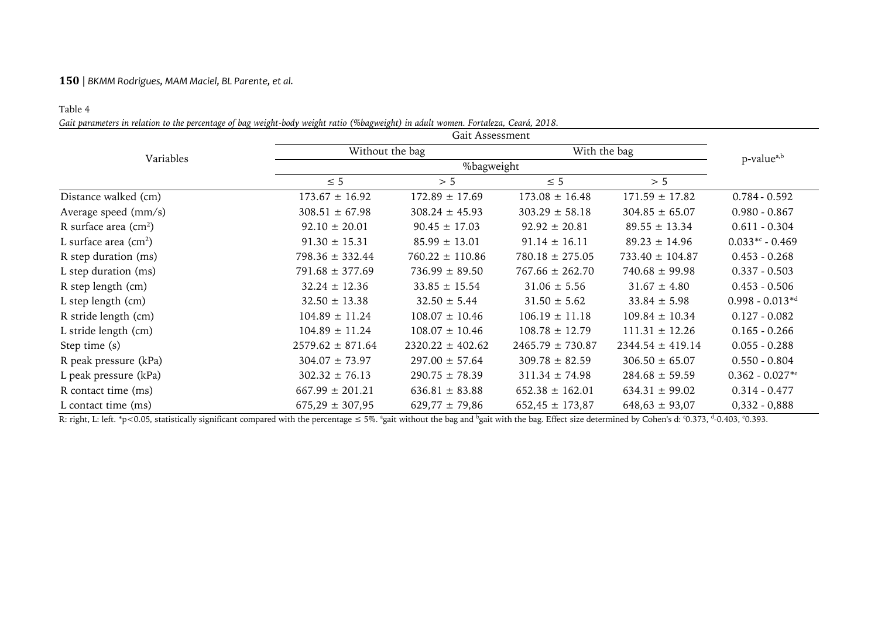# Table 4

*Gait parameters in relation to the percentage of bag weight-body weight ratio (%bagweight) in adult women. Fortaleza, Ceará, 2018.*

|                        |                      | Without the bag      |                      | With the bag         |                      |  |
|------------------------|----------------------|----------------------|----------------------|----------------------|----------------------|--|
| Variables              |                      | %bagweight           |                      |                      |                      |  |
|                        | $\leq 5$             | > 5                  | $\leq 5$             | > 5                  |                      |  |
| Distance walked (cm)   | $173.67 \pm 16.92$   | $172.89 \pm 17.69$   | $173.08 \pm 16.48$   | $171.59 \pm 17.82$   | $0.784 - 0.592$      |  |
| Average speed (mm/s)   | $308.51 \pm 67.98$   | $308.24 \pm 45.93$   | $303.29 \pm 58.18$   | $304.85 \pm 65.07$   | $0.980 - 0.867$      |  |
| R surface area $(cm2)$ | $92.10 \pm 20.01$    | $90.45 \pm 17.03$    | $92.92 \pm 20.81$    | $89.55 \pm 13.34$    | $0.611 - 0.304$      |  |
| L surface area $(cm2)$ | $91.30 \pm 15.31$    | $85.99 \pm 13.01$    | $91.14 \pm 16.11$    | $89.23 \pm 14.96$    | $0.033** - 0.469$    |  |
| R step duration (ms)   | $798.36 \pm 332.44$  | $760.22 \pm 110.86$  | $780.18 \pm 275.05$  | $733.40 \pm 104.87$  | $0.453 - 0.268$      |  |
| L step duration (ms)   | $791.68 \pm 377.69$  | $736.99 \pm 89.50$   | $767.66 \pm 262.70$  | $740.68 \pm 99.98$   | $0.337 - 0.503$      |  |
| R step length (cm)     | $32.24 \pm 12.36$    | $33.85 \pm 15.54$    | $31.06 \pm 5.56$     | $31.67 \pm 4.80$     | $0.453 - 0.506$      |  |
| L step length (cm)     | $32.50 \pm 13.38$    | $32.50 \pm 5.44$     | $31.50 \pm 5.62$     | $33.84 \pm 5.98$     | $0.998 - 0.013^{*d}$ |  |
| R stride length (cm)   | $104.89 \pm 11.24$   | $108.07 \pm 10.46$   | $106.19 \pm 11.18$   | $109.84 \pm 10.34$   | $0.127 - 0.082$      |  |
| L stride length (cm)   | $104.89 \pm 11.24$   | $108.07 \pm 10.46$   | $108.78 \pm 12.79$   | $111.31 \pm 12.26$   | $0.165 - 0.266$      |  |
| Step time (s)          | $2579.62 \pm 871.64$ | $2320.22 \pm 402.62$ | $2465.79 \pm 730.87$ | $2344.54 \pm 419.14$ | $0.055 - 0.288$      |  |
| R peak pressure (kPa)  | $304.07 \pm 73.97$   | $297.00 \pm 57.64$   | $309.78 \pm 82.59$   | $306.50 \pm 65.07$   | $0.550 - 0.804$      |  |
| L peak pressure (kPa)  | $302.32 \pm 76.13$   | $290.75 \pm 78.39$   | $311.34 \pm 74.98$   | $284.68 \pm 59.59$   | $0.362 - 0.027**$    |  |
| R contact time (ms)    | $667.99 \pm 201.21$  | $636.81 \pm 83.88$   | $652.38 \pm 162.01$  | $634.31 \pm 99.02$   | $0.314 - 0.477$      |  |
| L contact time (ms)    | $675,29 \pm 307,95$  | $629,77 \pm 79,86$   | $652,45 \pm 173,87$  | $648,63 \pm 93,07$   | $0,332 - 0,888$      |  |

R: right, L: left. \*p<0.05, statistically significant compared with the percentage  $\leq$  5%. \*gait without the bag and <sup>b</sup>gait with the bag. Effect size determined by Cohen's d: °0.373, <sup>d</sup>-0.403, °0.393.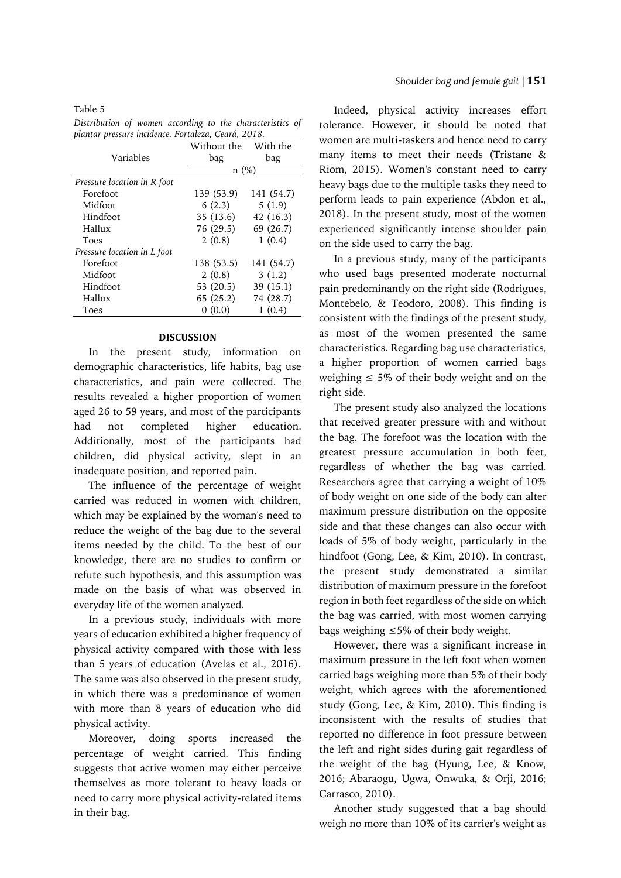Table 5

*Distribution of women according to the characteristics of plantar pressure incidence. Fortaleza, Ceará, 2018.*

|                             | Without the | With the   |  |  |
|-----------------------------|-------------|------------|--|--|
| Variables                   | bag         | bag        |  |  |
|                             | n(%)        |            |  |  |
| Pressure location in R foot |             |            |  |  |
| Forefoot                    | 139 (53.9)  | 141 (54.7) |  |  |
| Midfoot                     | 6(2.3)      | 5(1.9)     |  |  |
| Hindfoot                    | 35 (13.6)   | 42 (16.3)  |  |  |
| Hallux                      | 76 (29.5)   | 69 (26.7)  |  |  |
| Toes                        | 2(0.8)      | 1(0.4)     |  |  |
| Pressure location in L foot |             |            |  |  |
| Forefoot                    | 138 (53.5)  | 141 (54.7) |  |  |
| Midfoot                     | 2(0.8)      | 3(1.2)     |  |  |
| Hindfoot                    | 53 (20.5)   | 39 (15.1)  |  |  |
| Hallux                      | 65(25.2)    | 74 (28.7)  |  |  |
| Toes                        | (0.0)       | (0.4)      |  |  |

#### **DISCUSSION**

In the present study, information on demographic characteristics, life habits, bag use characteristics, and pain were collected. The results revealed a higher proportion of women aged 26 to 59 years, and most of the participants had not completed higher education. Additionally, most of the participants had children, did physical activity, slept in an inadequate position, and reported pain.

The influence of the percentage of weight carried was reduced in women with children, which may be explained by the woman's need to reduce the weight of the bag due to the several items needed by the child. To the best of our knowledge, there are no studies to confirm or refute such hypothesis, and this assumption was made on the basis of what was observed in everyday life of the women analyzed.

In a previous study, individuals with more years of education exhibited a higher frequency of physical activity compared with those with less than 5 years of education (Avelas et al., 2016). The same was also observed in the present study, in which there was a predominance of women with more than 8 years of education who did physical activity.

Moreover, doing sports increased the percentage of weight carried. This finding suggests that active women may either perceive themselves as more tolerant to heavy loads or need to carry more physical activity-related items in their bag.

Indeed, physical activity increases effort tolerance. However, it should be noted that women are multi-taskers and hence need to carry many items to meet their needs (Tristane & Riom, 2015). Women's constant need to carry heavy bags due to the multiple tasks they need to perform leads to pain experience (Abdon et al., 2018). In the present study, most of the women experienced significantly intense shoulder pain on the side used to carry the bag.

In a previous study, many of the participants who used bags presented moderate nocturnal pain predominantly on the right side (Rodrigues, Montebelo, & Teodoro, 2008). This finding is consistent with the findings of the present study, as most of the women presented the same characteristics. Regarding bag use characteristics, a higher proportion of women carried bags weighing  $\leq 5\%$  of their body weight and on the right side.

The present study also analyzed the locations that received greater pressure with and without the bag. The forefoot was the location with the greatest pressure accumulation in both feet, regardless of whether the bag was carried. Researchers agree that carrying a weight of 10% of body weight on one side of the body can alter maximum pressure distribution on the opposite side and that these changes can also occur with loads of 5% of body weight, particularly in the hindfoot (Gong, Lee, & Kim, 2010). In contrast, the present study demonstrated a similar distribution of maximum pressure in the forefoot region in both feet regardless of the side on which the bag was carried, with most women carrying bags weighing ≤5% of their body weight.

However, there was a significant increase in maximum pressure in the left foot when women carried bags weighing more than 5% of their body weight, which agrees with the aforementioned study (Gong, Lee, & Kim, 2010). This finding is inconsistent with the results of studies that reported no difference in foot pressure between the left and right sides during gait regardless of the weight of the bag (Hyung, Lee, & Know, 2016; Abaraogu, Ugwa, Onwuka, & Orji, 2016; Carrasco, 2010).

Another study suggested that a bag should weigh no more than 10% of its carrier's weight as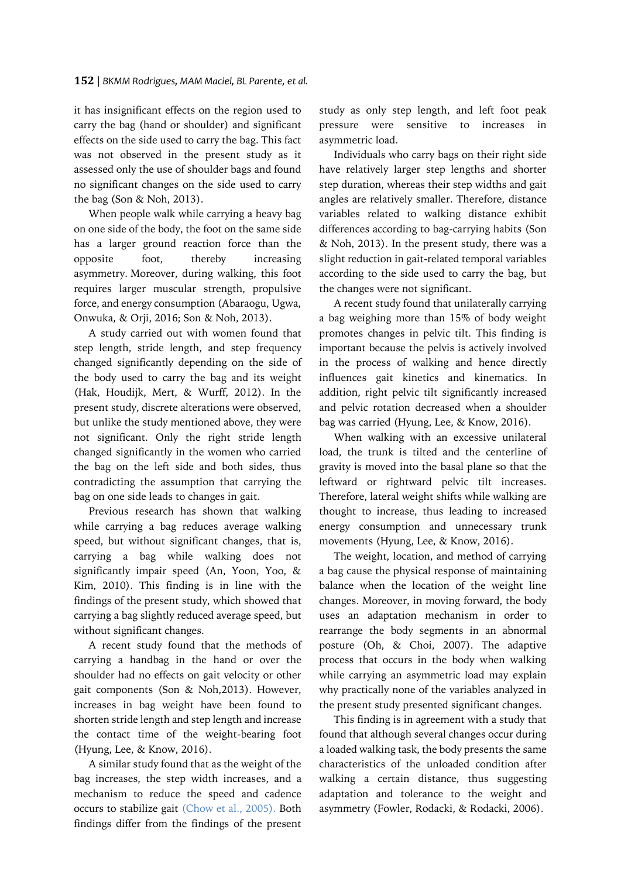it has insignificant effects on the region used to carry the bag (hand or shoulder) and significant effects on the side used to carry the bag. This fact was not observed in the present study as it assessed only the use of shoulder bags and found no significant changes on the side used to carry the bag (Son & Noh, 2013).

When people walk while carrying a heavy bag on one side of the body, the foot on the same side has a larger ground reaction force than the opposite foot, thereby increasing asymmetry. Moreover, during walking, this foot requires larger muscular strength, propulsive force, and energy consumption (Abaraogu, Ugwa, Onwuka, & Orji, 2016; Son & Noh, 2013).

A study carried out with women found that step length, stride length, and step frequency changed significantly depending on the side of the body used to carry the bag and its weight (Hak, Houdijk, Mert, & Wurff, 2012). In the present study, discrete alterations were observed, but unlike the study mentioned above, they were not significant. Only the right stride length changed significantly in the women who carried the bag on the left side and both sides, thus contradicting the assumption that carrying the bag on one side leads to changes in gait.

Previous research has shown that walking while carrying a bag reduces average walking speed, but without significant changes, that is, carrying a bag while walking does not significantly impair speed (An, Yoon, Yoo, & Kim, 2010). This finding is in line with the findings of the present study, which showed that carrying a bag slightly reduced average speed, but without significant changes.

A recent study found that the methods of carrying a handbag in the hand or over the shoulder had no effects on gait velocity or other gait components (Son & Noh,2013). However, increases in bag weight have been found to shorten stride length and step length and increase the contact time of the weight-bearing foot (Hyung, Lee, & Know, 2016).

A similar study found that as the weight of the bag increases, the step width increases, and a mechanism to reduce the speed and cadence occurs to stabilize gait (Chow et al., 2005). Both findings differ from the findings of the present study as only step length, and left foot peak pressure were sensitive to increases in asymmetric load.

Individuals who carry bags on their right side have relatively larger step lengths and shorter step duration, whereas their step widths and gait angles are relatively smaller. Therefore, distance variables related to walking distance exhibit differences according to bag-carrying habits (Son & Noh, 2013). In the present study, there was a slight reduction in gait-related temporal variables according to the side used to carry the bag, but the changes were not significant.

A recent study found that unilaterally carrying a bag weighing more than 15% of body weight promotes changes in pelvic tilt. This finding is important because the pelvis is actively involved in the process of walking and hence directly influences gait kinetics and kinematics. In addition, right pelvic tilt significantly increased and pelvic rotation decreased when a shoulder bag was carried (Hyung, Lee, & Know, 2016).

When walking with an excessive unilateral load, the trunk is tilted and the centerline of gravity is moved into the basal plane so that the leftward or rightward pelvic tilt increases. Therefore, lateral weight shifts while walking are thought to increase, thus leading to increased energy consumption and unnecessary trunk movements (Hyung, Lee, & Know, 2016).

The weight, location, and method of carrying a bag cause the physical response of maintaining balance when the location of the weight line changes. Moreover, in moving forward, the body uses an adaptation mechanism in order to rearrange the body segments in an abnormal posture (Oh, & Choi, 2007). The adaptive process that occurs in the body when walking while carrying an asymmetric load may explain why practically none of the variables analyzed in the present study presented significant changes.

This finding is in agreement with a study that found that although several changes occur during a loaded walking task, the body presents the same characteristics of the unloaded condition after walking a certain distance, thus suggesting adaptation and tolerance to the weight and asymmetry (Fowler, Rodacki, & Rodacki, 2006).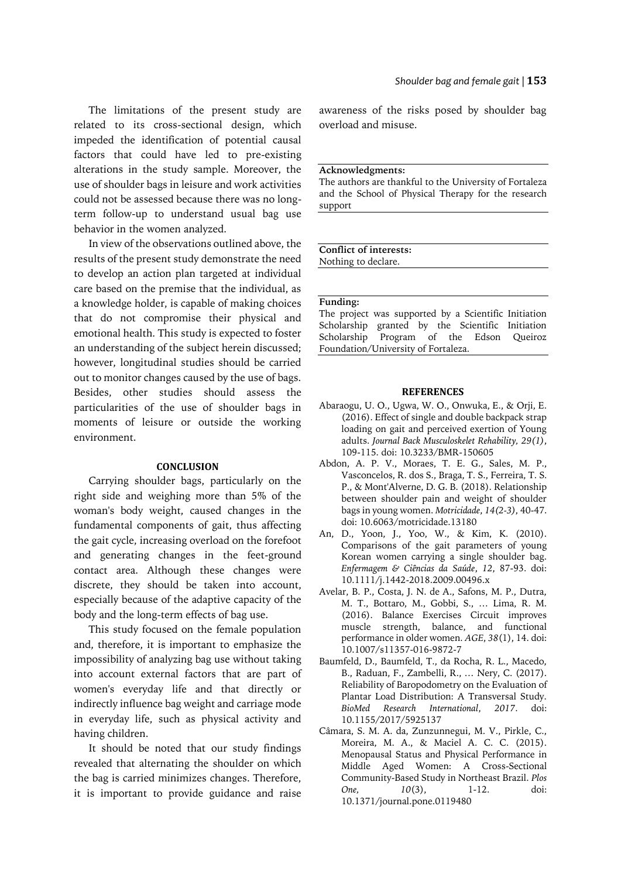The limitations of the present study are related to its cross-sectional design, which impeded the identification of potential causal factors that could have led to pre-existing alterations in the study sample. Moreover, the use of shoulder bags in leisure and work activities could not be assessed because there was no longterm follow-up to understand usual bag use behavior in the women analyzed.

In view of the observations outlined above, the results of the present study demonstrate the need to develop an action plan targeted at individual care based on the premise that the individual, as a knowledge holder, is capable of making choices that do not compromise their physical and emotional health. This study is expected to foster an understanding of the subject herein discussed; however, longitudinal studies should be carried out to monitor changes caused by the use of bags. Besides, other studies should assess the particularities of the use of shoulder bags in moments of leisure or outside the working environment.

## **CONCLUSION**

Carrying shoulder bags, particularly on the right side and weighing more than 5% of the woman's body weight, caused changes in the fundamental components of gait, thus affecting the gait cycle, increasing overload on the forefoot and generating changes in the feet-ground contact area. Although these changes were discrete, they should be taken into account, especially because of the adaptive capacity of the body and the long-term effects of bag use.

This study focused on the female population and, therefore, it is important to emphasize the impossibility of analyzing bag use without taking into account external factors that are part of women's everyday life and that directly or indirectly influence bag weight and carriage mode in everyday life, such as physical activity and having children.

It should be noted that our study findings revealed that alternating the shoulder on which the bag is carried minimizes changes. Therefore, it is important to provide guidance and raise

awareness of the risks posed by shoulder bag overload and misuse.

### **Acknowledgments:**

The authors are thankful to the University of Fortaleza and the School of Physical Therapy for the research support

**Conflict of interests:** Nothing to declare.

### **Funding:**

The project was supported by a Scientific Initiation Scholarship granted by the Scientific Initiation Scholarship Program of the Edson Queiroz Foundation/University of Fortaleza.

#### **REFERENCES**

- Abaraogu, U. O., Ugwa, W. O., Onwuka, E., & Orji, E. (2016). Effect of single and double backpack strap loading on gait and perceived exertion of Young adults. *Journal Back Musculoskelet Rehability, 29(1)*, 109-115. doi: 10.3233/BMR-150605
- Abdon, A. P. V., Moraes, T. E. G., Sales, M. P., Vasconcelos, R. dos S., Braga, T. S., Ferreira, T. S. P., & Mont'Alverne, D. G. B. (2018). Relationship between shoulder pain and weight of shoulder bags in young women. *Motricidade*, *14(2-3)*, 40-47. doi: 10.6063/motricidade.13180
- An, D., Yoon, J., Yoo, W., & Kim, K. (2010). Comparisons of the gait parameters of young Korean women carrying a single shoulder bag. *Enfermagem & Ciências da Saúde*, *12*, 87-93. doi: 10.1111/j.1442-2018.2009.00496.x
- Avelar, B. P., Costa, J. N. de A., Safons, M. P., Dutra, M. T., Bottaro, M., Gobbi, S., … Lima, R. M. (2016). Balance Exercises Circuit improves muscle strength, balance, and functional performance in older women. *AGE*, *38*(1), 14. doi: 10.1007/s11357-016-9872-7
- Baumfeld, D., Baumfeld, T., da Rocha, R. L., Macedo, B., Raduan, F., Zambelli, R., … Nery, C. (2017). Reliability of Baropodometry on the Evaluation of Plantar Load Distribution: A Transversal Study. *BioMed Research International*, *2017*. doi: 10.1155/2017/5925137
- Câmara, S. M. A. da, Zunzunnegui, M. V., Pirkle, C., Moreira, M. A., & Maciel A. C. C. (2015). Menopausal Status and Physical Performance in Middle Aged Women: A Cross-Sectional Community-Based Study in Northeast Brazil. *Plos One, 10*(3), 1-12. doi: 10.1371/journal.pone.0119480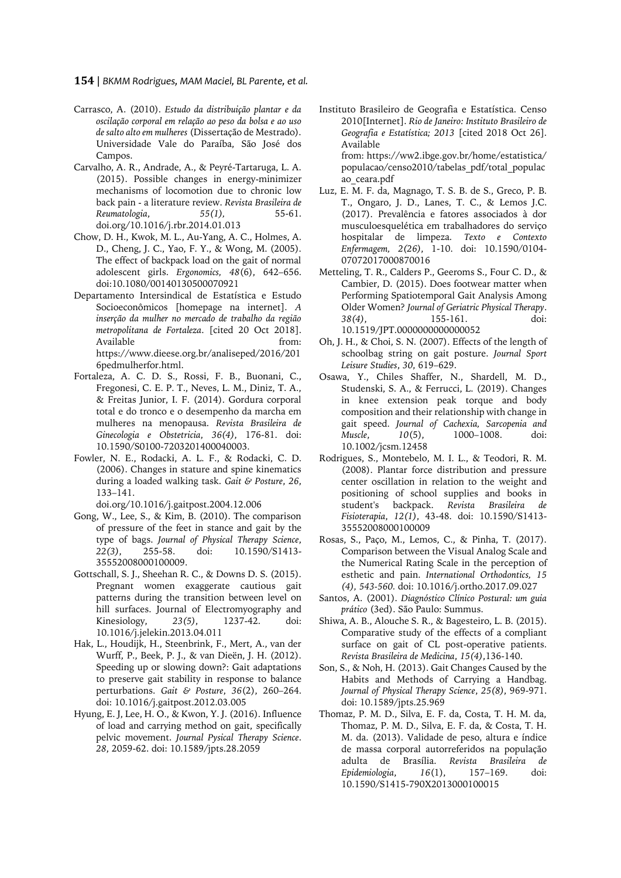- Carrasco, A. (2010). *Estudo da distribuição plantar e da oscilação corporal em relação ao peso da bolsa e ao uso de salto alto em mulheres* (Dissertação de Mestrado). Universidade Vale do Paraíba, São José dos Campos.
- Carvalho, A. R., Andrade, A., & Peyré-Tartaruga, L. A. (2015). Possible changes in energy‐minimizer mechanisms of locomotion due to chronic low back pain ‐ a literature review. *Revista Brasileira de Reumatologia*, *55(1),* 55-61. doi.org/10.1016/j.rbr.2014.01.013
- Chow, D. H., Kwok, M. L., Au-Yang, A. C., Holmes, A. D., Cheng, J. C., Yao, F. Y., & Wong, M. (2005). The effect of backpack load on the gait of normal adolescent girls. *Ergonomics, 48*(6), 642–656. doi:10.1080/00140130500070921
- Departamento Intersindical de Estatística e Estudo Socioeconômicos [homepage na internet]. *A inserção da mulher no mercado de trabalho da região metropolitana de Fortaleza*. [cited 20 Oct 2018]. Available from: https://www.dieese.org.br/analiseped/2016/201 6pedmulherfor.html.
- Fortaleza, A. C. D. S., Rossi, F. B., Buonani, C., Fregonesi, C. E. P. T., Neves, L. M., Diniz, T. A., & Freitas Junior, I. F. (2014). Gordura corporal total e do tronco e o desempenho da marcha em mulheres na menopausa. *Revista Brasileira de Ginecologia e Obstetricia*, *36(4)*, 176-81. doi: 10.1590/S0100-7203201400040003.
- Fowler, N. E., Rodacki, A. L. F., & Rodacki, C. D. (2006). Changes in stature and spine kinematics during a loaded walking task. *Gait & Posture*, *26*, 133–141.

doi.org/10.1016/j.gaitpost.2004.12.006

- Gong, W., Lee, S., & Kim, B. (2010). The comparison of pressure of the feet in stance and gait by the type of bags. *Journal of Physical Therapy Science*, *22(3)*, 255-58. doi: 10.1590/S1413- 35552008000100009.
- Gottschall, S. J., Sheehan R. C., & Downs D. S. (2015). Pregnant women exaggerate cautious gait patterns during the transition between level on hill surfaces. Journal of Electromyography and<br>Kinesiology, 23(5), 1237-42. doi: Kinesiology, *23(5)*, 1237-42. doi: 10.1016/j.jelekin.2013.04.011
- Hak, L., Houdijk, H., Steenbrink, F., Mert, A., van der Wurff, P., Beek, P. J., & van Dieën, J. H. (2012). Speeding up or slowing down?: Gait adaptations to preserve gait stability in response to balance perturbations. *Gait & Posture*, *36*(2), 260–264. doi: 10.1016/j.gaitpost.2012.03.005
- Hyung, E. J, Lee, H. O., & Kwon, Y. J. (2016). Influence of load and carrying method on gait, specifically pelvic movement. *Journal Pysical Therapy Science*. *28*, 2059-62. doi: 10.1589/jpts.28.2059
- Instituto Brasileiro de Geografia e Estatística. Censo 2010[Internet]. *Rio de Janeiro: Instituto Brasileiro de Geografia e Estatística; 2013* [cited 2018 Oct 26]. Available from: https://ww2.ibge.gov.br/home/estatistica/ populacao/censo2010/tabelas\_pdf/total\_populac
- ao\_ceara.pdf Luz, E. M. F. da, Magnago, T. S. B. de S., Greco, P. B. T., Ongaro, J. D., Lanes, T. C., & Lemos J.C. (2017). Prevalência e fatores associados à dor musculoesquelética em trabalhadores do serviço hospitalar de limpeza. *Texto e Contexto Enfermagem, 2(26)*, 1-10. doi: 10.1590/0104- 07072017000870016
- Metteling, T. R., Calders P., Geeroms S., Four C. D., & Cambier, D. (2015). Does footwear matter when Performing Spatiotemporal Gait Analysis Among Older Women? *Journal of Geriatric Physical Therapy*. *38(4)*, 155-161. doi: 10.1519/JPT.0000000000000052
- Oh, J. H., & Choi, S. N. (2007). Effects of the length of schoolbag string on gait posture. *Journal Sport Leisure Studies*, *30*, 619–629.
- Osawa, Y., Chiles Shaffer, N., Shardell, M. D., Studenski, S. A., & Ferrucci, L. (2019). Changes in knee extension peak torque and body composition and their relationship with change in gait speed. *Journal of Cachexia, Sarcopenia and Muscle*, *10*(5), 1000–1008. doi: 10.1002/jcsm.12458
- Rodrigues, S., Montebelo, M. I. L., & Teodori, R. M. (2008). Plantar force distribution and pressure center oscillation in relation to the weight and positioning of school supplies and books in student's backpack. *Revista Brasileira de Fisioterapia*, *12(1)*, 43-48. doi: 10.1590/S1413- 35552008000100009
- Rosas, S., Paço, M., Lemos, C., & Pinha, T. (2017). Comparison between the Visual Analog Scale and the Numerical Rating Scale in the perception of esthetic and pain. *International Orthodontics, 15 (4), 543-560.* doi: 10.1016/j.ortho.2017.09.027
- Santos, A. (2001). *Diagnóstico Clínico Postural: um guia prático* (3ed). São Paulo: Summus.
- Shiwa, A. B., Alouche S. R., & Bagesteiro, L. B. (2015). Comparative study of the effects of a compliant surface on gait of CL post-operative patients. *Revista Brasileira de Medicina*, *15(4)*,136-140.
- Son, S., & Noh, H. (2013). Gait Changes Caused by the Habits and Methods of Carrying a Handbag. *Journal of Physical Therapy Science*, *25(8)*, 969-971. doi: 10.1589/jpts.25.969
- Thomaz, P. M. D., Silva, E. F. da, Costa, T. H. M. da, Thomaz, P. M. D., Silva, E. F. da, & Costa, T. H. M. da. (2013). Validade de peso, altura e índice de massa corporal autorreferidos na população adulta de Brasília. *Revista Brasileira de Epidemiologia*, *16*(1), 157–169. doi: 10.1590/S1415-790X2013000100015